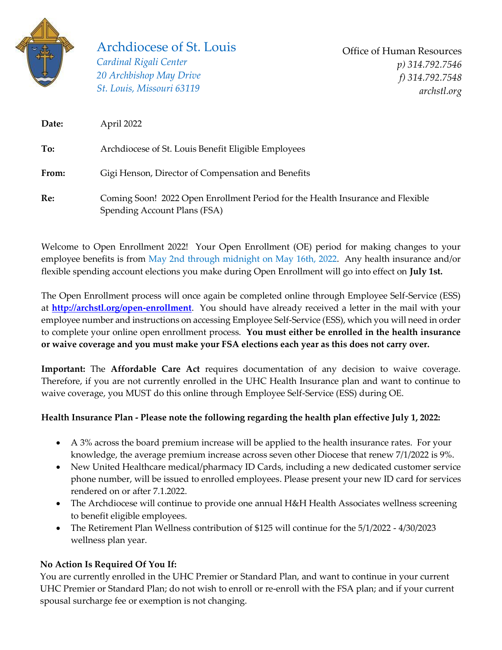

## Archdiocese of St. Louis

*Cardinal Rigali Center 20 Archbishop May Drive St. Louis, Missouri 63119*

Office of Human Resources *p) 314.792.7546 f) 314.792.7548 [archstl.org](http://www.archstl.org/)*

| Date: | April 2022                                                                                                     |
|-------|----------------------------------------------------------------------------------------------------------------|
| To:   | Archdiocese of St. Louis Benefit Eligible Employees                                                            |
| From: | Gigi Henson, Director of Compensation and Benefits                                                             |
| Re:   | Coming Soon! 2022 Open Enrollment Period for the Health Insurance and Flexible<br>Spending Account Plans (FSA) |

Welcome to Open Enrollment 2022! Your Open Enrollment (OE) period for making changes to your employee benefits is from May 2nd through midnight on May 16th, 2022. Any health insurance and/or flexible spending account elections you make during Open Enrollment will go into effect on **July 1st.** 

The Open Enrollment process will once again be completed online through Employee Self-Service (ESS) at **<http://archstl.org/open-enrollment>**. You should have already received a letter in the mail with your employee number and instructions on accessing Employee Self-Service (ESS), which you will need in order to complete your online open enrollment process. **You must either be enrolled in the health insurance or waive coverage and you must make your FSA elections each year as this does not carry over.**

**Important:** The **Affordable Care Act** requires documentation of any decision to waive coverage. Therefore, if you are not currently enrolled in the UHC Health Insurance plan and want to continue to waive coverage, you MUST do this online through Employee Self-Service (ESS) during OE.

## **Health Insurance Plan - Please note the following regarding the health plan effective July 1, 2022:**

- A 3% across the board premium increase will be applied to the health insurance rates. For your knowledge, the average premium increase across seven other Diocese that renew 7/1/2022 is 9%.
- New United Healthcare medical/pharmacy ID Cards, including a new dedicated customer service phone number, will be issued to enrolled employees. Please present your new ID card for services rendered on or after 7.1.2022.
- The Archdiocese will continue to provide one annual H&H Health Associates wellness screening to benefit eligible employees.
- The Retirement Plan Wellness contribution of \$125 will continue for the 5/1/2022 4/30/2023 wellness plan year.

## **No Action Is Required Of You If:**

You are currently enrolled in the UHC Premier or Standard Plan, and want to continue in your current UHC Premier or Standard Plan; do not wish to enroll or re-enroll with the FSA plan; and if your current spousal surcharge fee or exemption is not changing.